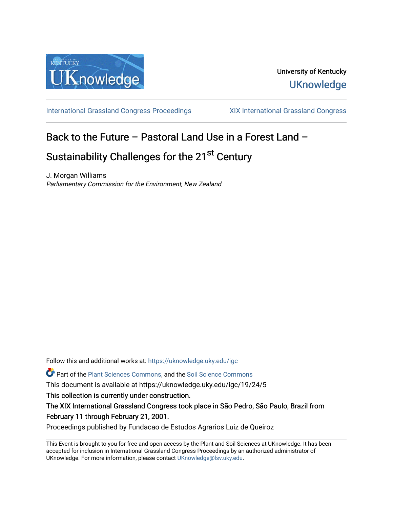

[International Grassland Congress Proceedings](https://uknowledge.uky.edu/igc) [XIX International Grassland Congress](https://uknowledge.uky.edu/igc/19) 

# Back to the Future – Pastoral Land Use in a Forest Land –

# Sustainability Challenges for the 21<sup>st</sup> Century

J. Morgan Williams Parliamentary Commission for the Environment, New Zealand

Follow this and additional works at: [https://uknowledge.uky.edu/igc](https://uknowledge.uky.edu/igc?utm_source=uknowledge.uky.edu%2Figc%2F19%2F24%2F5&utm_medium=PDF&utm_campaign=PDFCoverPages) 

Part of the [Plant Sciences Commons](http://network.bepress.com/hgg/discipline/102?utm_source=uknowledge.uky.edu%2Figc%2F19%2F24%2F5&utm_medium=PDF&utm_campaign=PDFCoverPages), and the [Soil Science Commons](http://network.bepress.com/hgg/discipline/163?utm_source=uknowledge.uky.edu%2Figc%2F19%2F24%2F5&utm_medium=PDF&utm_campaign=PDFCoverPages) 

This document is available at https://uknowledge.uky.edu/igc/19/24/5

This collection is currently under construction.

The XIX International Grassland Congress took place in São Pedro, São Paulo, Brazil from February 11 through February 21, 2001.

Proceedings published by Fundacao de Estudos Agrarios Luiz de Queiroz

This Event is brought to you for free and open access by the Plant and Soil Sciences at UKnowledge. It has been accepted for inclusion in International Grassland Congress Proceedings by an authorized administrator of UKnowledge. For more information, please contact [UKnowledge@lsv.uky.edu](mailto:UKnowledge@lsv.uky.edu).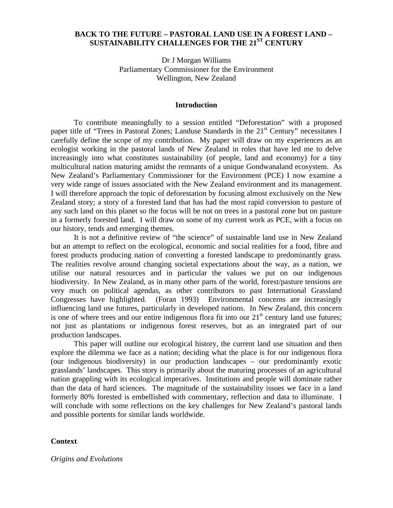# **BACK TO THE FUTURE – PASTORAL LAND USE IN A FOREST LAND – SUSTAINABILITY CHALLENGES FOR THE 21ST CENTURY**

Dr J Morgan Williams Parliamentary Commissioner for the Environment Wellington, New Zealand

#### **Introduction**

To contribute meaningfully to a session entitled "Deforestation" with a proposed paper title of "Trees in Pastoral Zones; Landuse Standards in the  $21<sup>st</sup>$  Century" necessitates I carefully define the scope of my contribution. My paper will draw on my experiences as an ecologist working in the pastoral lands of New Zealand in roles that have led me to delve increasingly into what constitutes sustainability (of people, land and economy) for a tiny multicultural nation maturing amidst the remnants of a unique Gondwanaland ecosystem. As New Zealand's Parliamentary Commissioner for the Environment (PCE) I now examine a very wide range of issues associated with the New Zealand environment and its management. I will therefore approach the topic of deforestation by focusing almost exclusively on the New Zealand story; a story of a forested land that has had the most rapid conversion to pasture of any such land on this planet so the focus will be not on trees in a pastoral zone but on pasture in a formerly forested land. I will draw on some of my current work as PCE, with a focus on our history, tends and emerging themes.

It is not a definitive review of "the science" of sustainable land use in New Zealand but an attempt to reflect on the ecological, economic and social realities for a food, fibre and forest products producing nation of converting a forested landscape to predominantly grass. The realities revolve around changing societal expectations about the way, as a nation, we utilise our natural resources and in particular the values we put on our indigenous biodiversity. In New Zealand, as in many other parts of the world, forest/pasture tensions are very much on political agendas, as other contributors to past International Grassland Congresses have highlighted. (Foran 1993) Environmental concerns are increasingly influencing land use futures, particularly in developed nations. In New Zealand, this concern is one of where trees and our entire indigenous flora fit into our  $21<sup>st</sup>$  century land use futures; not just as plantations or indigenous forest reserves, but as an integrated part of our production landscapes.

This paper will outline our ecological history, the current land use situation and then explore the dilemma we face as a nation; deciding what the place is for our indigenous flora (our indigenous biodiversity) in our production landscapes – our predominantly exotic grasslands' landscapes. This story is primarily about the maturing processes of an agricultural nation grappling with its ecological imperatives. Institutions and people will dominate rather than the data of hard sciences. The magnitude of the sustainability issues we face in a land formerly 80% forested is embellished with commentary, reflection and data to illuminate. I will conclude with some reflections on the key challenges for New Zealand's pastoral lands and possible portents for similar lands worldwide.

### **Context**

*Origins and Evolutions*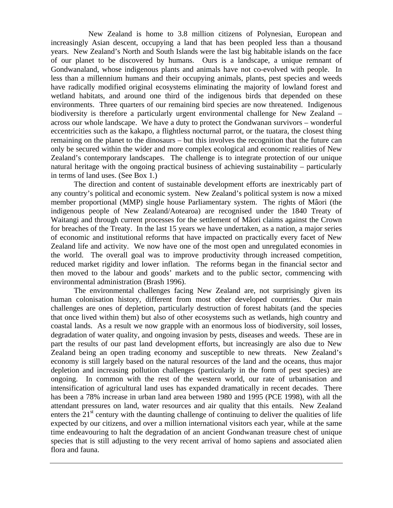New Zealand is home to 3.8 million citizens of Polynesian, European and increasingly Asian descent, occupying a land that has been peopled less than a thousand years. New Zealand's North and South Islands were the last big habitable islands on the face of our planet to be discovered by humans. Ours is a landscape, a unique remnant of Gondwanaland, whose indigenous plants and animals have not co-evolved with people. In less than a millennium humans and their occupying animals, plants, pest species and weeds have radically modified original ecosystems eliminating the majority of lowland forest and wetland habitats, and around one third of the indigenous birds that depended on these environments. Three quarters of our remaining bird species are now threatened. Indigenous biodiversity is therefore a particularly urgent environmental challenge for New Zealand – across our whole landscape. We have a duty to protect the Gondwanan survivors – wonderful eccentricities such as the kakapo, a flightless nocturnal parrot, or the tuatara, the closest thing remaining on the planet to the dinosaurs – but this involves the recognition that the future can only be secured within the wider and more complex ecological and economic realities of New Zealand's contemporary landscapes. The challenge is to integrate protection of our unique natural heritage with the ongoing practical business of achieving sustainability – particularly in terms of land uses. (See Box 1.)

The direction and content of sustainable development efforts are inextricably part of any country's political and economic system. New Zealand's political system is now a mixed member proportional (MMP) single house Parliamentary system. The rights of Mâori (the indigenous people of New Zealand/Aotearoa) are recognised under the 1840 Treaty of Waitangi and through current processes for the settlement of Mâori claims against the Crown for breaches of the Treaty. In the last 15 years we have undertaken, as a nation, a major series of economic and institutional reforms that have impacted on practically every facet of New Zealand life and activity. We now have one of the most open and unregulated economies in the world. The overall goal was to improve productivity through increased competition, reduced market rigidity and lower inflation. The reforms began in the financial sector and then moved to the labour and goods' markets and to the public sector, commencing with environmental administration (Brash 1996).

The environmental challenges facing New Zealand are, not surprisingly given its human colonisation history, different from most other developed countries. Our main challenges are ones of depletion, particularly destruction of forest habitats (and the species that once lived within them) but also of other ecosystems such as wetlands, high country and coastal lands. As a result we now grapple with an enormous loss of biodiversity, soil losses, degradation of water quality, and ongoing invasion by pests, diseases and weeds. These are in part the results of our past land development efforts, but increasingly are also due to New Zealand being an open trading economy and susceptible to new threats. New Zealand's economy is still largely based on the natural resources of the land and the oceans, thus major depletion and increasing pollution challenges (particularly in the form of pest species) are ongoing. In common with the rest of the western world, our rate of urbanisation and intensification of agricultural land uses has expanded dramatically in recent decades. There has been a 78% increase in urban land area between 1980 and 1995 (PCE 1998), with all the attendant pressures on land, water resources and air quality that this entails. New Zealand enters the  $21<sup>st</sup>$  century with the daunting challenge of continuing to deliver the qualities of life expected by our citizens, and over a million international visitors each year, while at the same time endeavouring to halt the degradation of an ancient Gondwanan treasure chest of unique species that is still adjusting to the very recent arrival of homo sapiens and associated alien flora and fauna.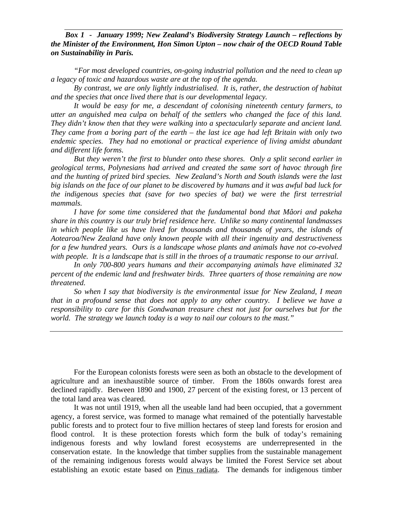# *Box 1 - January 1999; New Zealand's Biodiversity Strategy Launch – reflections by the Minister of the Environment, Hon Simon Upton – now chair of the OECD Round Table on Sustainability in Paris.*

*"For most developed countries, on-going industrial pollution and the need to clean up a legacy of toxic and hazardous waste are at the top of the agenda.*

*By contrast, we are only lightly industrialised. It is, rather, the destruction of habitat and the species that once lived there that is our developmental legacy.*

*It would be easy for me, a descendant of colonising nineteenth century farmers, to utter an anguished mea culpa on behalf of the settlers who changed the face of this land. They didn't know then that they were walking into a spectacularly separate and ancient land. They came from a boring part of the earth – the last ice age had left Britain with only two endemic species. They had no emotional or practical experience of living amidst abundant and different life forms.*

*But they weren't the first to blunder onto these shores. Only a split second earlier in geological terms, Polynesians had arrived and created the same sort of havoc through fire and the hunting of prized bird species. New Zealand's North and South islands were the last big islands on the face of our planet to be discovered by humans and it was awful bad luck for the indigenous species that (save for two species of bat) we were the first terrestrial mammals.*

*I have for some time considered that the fundamental bond that Mâori and pakeha share in this country is our truly brief residence here. Unlike so many continental landmasses in which people like us have lived for thousands and thousands of years, the islands of Aotearoa/New Zealand have only known people with all their ingenuity and destructiveness for a few hundred years. Ours is a landscape whose plants and animals have not co-evolved with people. It is a landscape that is still in the throes of a traumatic response to our arrival.*

*In only 700-800 years humans and their accompanying animals have eliminated 32 percent of the endemic land and freshwater birds. Three quarters of those remaining are now threatened.*

*So when I say that biodiversity is the environmental issue for New Zealand, I mean that in a profound sense that does not apply to any other country. I believe we have a responsibility to care for this Gondwanan treasure chest not just for ourselves but for the world. The strategy we launch today is a way to nail our colours to the mast."*

For the European colonists forests were seen as both an obstacle to the development of agriculture and an inexhaustible source of timber. From the 1860s onwards forest area declined rapidly. Between 1890 and 1900, 27 percent of the existing forest, or 13 percent of the total land area was cleared.

It was not until 1919, when all the useable land had been occupied, that a government agency, a forest service, was formed to manage what remained of the potentially harvestable public forests and to protect four to five million hectares of steep land forests for erosion and flood control. It is these protection forests which form the bulk of today's remaining indigenous forests and why lowland forest ecosystems are underrepresented in the conservation estate. In the knowledge that timber supplies from the sustainable management of the remaining indigenous forests would always be limited the Forest Service set about establishing an exotic estate based on Pinus radiata. The demands for indigenous timber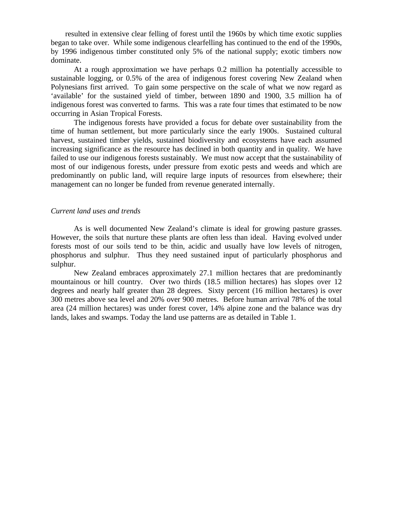resulted in extensive clear felling of forest until the 1960s by which time exotic supplies began to take over. While some indigenous clearfelling has continued to the end of the 1990s, by 1996 indigenous timber constituted only 5% of the national supply; exotic timbers now dominate.

At a rough approximation we have perhaps 0.2 million ha potentially accessible to sustainable logging, or 0.5% of the area of indigenous forest covering New Zealand when Polynesians first arrived. To gain some perspective on the scale of what we now regard as 'available' for the sustained yield of timber, between 1890 and 1900, 3.5 million ha of indigenous forest was converted to farms. This was a rate four times that estimated to be now occurring in Asian Tropical Forests.

The indigenous forests have provided a focus for debate over sustainability from the time of human settlement, but more particularly since the early 1900s. Sustained cultural harvest, sustained timber yields, sustained biodiversity and ecosystems have each assumed increasing significance as the resource has declined in both quantity and in quality. We have failed to use our indigenous forests sustainably. We must now accept that the sustainability of most of our indigenous forests, under pressure from exotic pests and weeds and which are predominantly on public land, will require large inputs of resources from elsewhere; their management can no longer be funded from revenue generated internally.

## *Current land uses and trends*

As is well documented New Zealand's climate is ideal for growing pasture grasses. However, the soils that nurture these plants are often less than ideal. Having evolved under forests most of our soils tend to be thin, acidic and usually have low levels of nitrogen, phosphorus and sulphur. Thus they need sustained input of particularly phosphorus and sulphur.

New Zealand embraces approximately 27.1 million hectares that are predominantly mountainous or hill country. Over two thirds (18.5 million hectares) has slopes over 12 degrees and nearly half greater than 28 degrees. Sixty percent (16 million hectares) is over 300 metres above sea level and 20% over 900 metres. Before human arrival 78% of the total area (24 million hectares) was under forest cover, 14% alpine zone and the balance was dry lands, lakes and swamps. Today the land use patterns are as detailed in Table 1.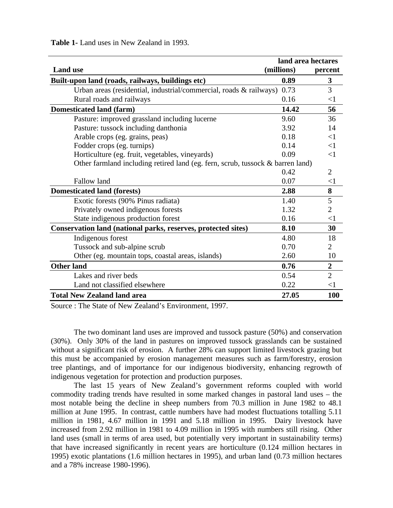**Table 1-** Land uses in New Zealand in 1993.

| land area hectares                                                             |            |                  |
|--------------------------------------------------------------------------------|------------|------------------|
| <b>Land use</b>                                                                | (millions) | percent          |
| Built-upon land (roads, railways, buildings etc)                               | 0.89       | 3                |
| Urban areas (residential, industrial/commercial, roads & railways)             | 0.73       | 3                |
| Rural roads and railways                                                       | 0.16       | $<$ 1            |
| <b>Domesticated land (farm)</b>                                                | 14.42      | 56               |
| Pasture: improved grassland including lucerne                                  | 9.60       | 36               |
| Pasture: tussock including danthonia                                           | 3.92       | 14               |
| Arable crops (eg. grains, peas)                                                | 0.18       | $<$ 1            |
| Fodder crops (eg. turnips)                                                     | 0.14       | $<$ 1            |
| Horticulture (eg. fruit, vegetables, vineyards)                                | 0.09       | $\leq$ 1         |
| Other farmland including retired land (eg. fern, scrub, tussock & barren land) |            |                  |
|                                                                                | 0.42       | 2                |
| Fallow land                                                                    | 0.07       | $<$ 1            |
| <b>Domesticated land (forests)</b>                                             | 2.88       | 8                |
| Exotic forests (90% Pinus radiata)                                             | 1.40       | 5                |
| Privately owned indigenous forests                                             | 1.32       | $\overline{2}$   |
| State indigenous production forest                                             | 0.16       | $<$ 1            |
| Conservation land (national parks, reserves, protected sites)                  | 8.10       | 30               |
| Indigenous forest                                                              | 4.80       | 18               |
| Tussock and sub-alpine scrub                                                   | 0.70       | $\overline{2}$   |
| Other (eg. mountain tops, coastal areas, islands)                              | 2.60       | 10               |
| <b>Other land</b>                                                              | 0.76       | $\boldsymbol{2}$ |
| Lakes and river beds                                                           | 0.54       | $\overline{2}$   |
| Land not classified elsewhere                                                  | 0.22       | $<$ 1            |
| <b>Total New Zealand land area</b>                                             | 27.05      | 100              |

Source : The State of New Zealand's Environment, 1997.

The two dominant land uses are improved and tussock pasture (50%) and conservation (30%). Only 30% of the land in pastures on improved tussock grasslands can be sustained without a significant risk of erosion. A further 28% can support limited livestock grazing but this must be accompanied by erosion management measures such as farm/forestry, erosion tree plantings, and of importance for our indigenous biodiversity, enhancing regrowth of indigenous vegetation for protection and production purposes.

The last 15 years of New Zealand's government reforms coupled with world commodity trading trends have resulted in some marked changes in pastoral land uses – the most notable being the decline in sheep numbers from 70.3 million in June 1982 to 48.1 million at June 1995. In contrast, cattle numbers have had modest fluctuations totalling 5.11 million in 1981, 4.67 million in 1991 and 5.18 million in 1995. Dairy livestock have increased from 2.92 million in 1981 to 4.09 million in 1995 with numbers still rising. Other land uses (small in terms of area used, but potentially very important in sustainability terms) that have increased significantly in recent years are horticulture (0.124 million hectares in 1995) exotic plantations (1.6 million hectares in 1995), and urban land (0.73 million hectares and a 78% increase 1980-1996).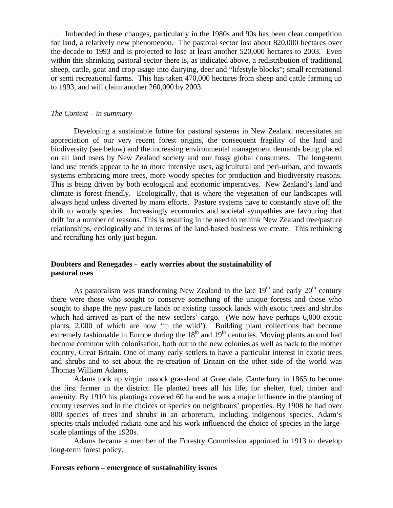Imbedded in these changes, particularly in the 1980s and 90s has been clear competition for land, a relatively new phenomenon. The pastoral sector lost about 820,000 hectares over the decade to 1993 and is projected to lose at least another 520,000 hectares to 2003. Even within this shrinking pastoral sector there is, as indicated above, a redistribution of traditional sheep, cattle, goat and crop usage into dairying, deer and "lifestyle blocks"; small recreational or semi recreational farms. This has taken 470,000 hectares from sheep and cattle farming up to 1993, and will claim another 260,000 by 2003.

### *The Context – in summary*

Developing a sustainable future for pastoral systems in New Zealand necessitates an appreciation of our very recent forest origins, the consequent fragility of the land and biodiversity (see below) and the increasing environmental management demands being placed on all land users by New Zealand society and our fussy global consumers. The long-term land use trends appear to be to more intensive uses, agricultural and peri-urban, and towards systems embracing more trees, more woody species for production and biodiversity reasons. This is being driven by both ecological and economic imperatives. New Zealand's land and climate is forest friendly. Ecologically, that is where the vegetation of our landscapes will always head unless diverted by mans efforts. Pasture systems have to constantly stave off the drift to woody species. Increasingly economics and societal sympathies are favouring that drift for a number of reasons. This is resulting in the need to rethink New Zealand tree/pasture relationships, ecologically and in terms of the land-based business we create. This rethinking and recrafting has only just begun.

## **Doubters and Renegades - early worries about the sustainability of pastoral uses**

As pastoralism was transforming New Zealand in the late  $19<sup>th</sup>$  and early  $20<sup>th</sup>$  century there were those who sought to conserve something of the unique forests and those who sought to shape the new pasture lands or existing tussock lands with exotic trees and shrubs which had arrived as part of the new settlers' cargo. (We now have perhaps 6,000 exotic plants, 2,000 of which are now 'in the wild'). Building plant collections had become extremely fashionable in Europe during the  $18<sup>th</sup>$  and  $19<sup>th</sup>$  centuries. Moving plants around had become common with colonisation, both out to the new colonies as well as back to the mother country, Great Britain. One of many early settlers to have a particular interest in exotic trees and shrubs and to set about the re-creation of Britain on the other side of the world was Thomas William Adams.

Adams took up virgin tussock grassland at Greendale, Canterbury in 1865 to become the first farmer in the district. He planted trees all his life, for shelter, fuel, timber and amenity. By 1910 his plantings covered 60 ha and he was a major influence in the planting of county reserves and in the choices of species on neighbours' properties. By 1908 he had over 800 species of trees and shrubs in an arboretum, including indigenous species. Adam's species trials included radiata pine and his work influenced the choice of species in the largescale plantings of the 1920s.

Adams became a member of the Forestry Commission appointed in 1913 to develop long-term forest policy.

#### **Forests reborn – emergence of sustainability issues**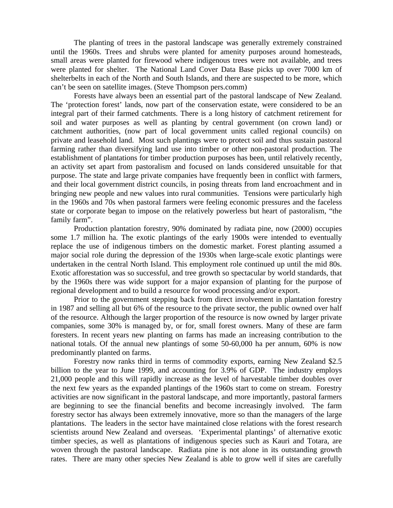The planting of trees in the pastoral landscape was generally extremely constrained until the 1960s. Trees and shrubs were planted for amenity purposes around homesteads, small areas were planted for firewood where indigenous trees were not available, and trees were planted for shelter. The National Land Cover Data Base picks up over 7000 km of shelterbelts in each of the North and South Islands, and there are suspected to be more, which can't be seen on satellite images. (Steve Thompson pers.comm)

Forests have always been an essential part of the pastoral landscape of New Zealand. The 'protection forest' lands, now part of the conservation estate, were considered to be an integral part of their farmed catchments. There is a long history of catchment retirement for soil and water purposes as well as planting by central government (on crown land) or catchment authorities, (now part of local government units called regional councils) on private and leasehold land. Most such plantings were to protect soil and thus sustain pastoral farming rather than diversifying land use into timber or other non-pastoral production. The establishment of plantations for timber production purposes has been, until relatively recently, an activity set apart from pastoralism and focused on lands considered unsuitable for that purpose. The state and large private companies have frequently been in conflict with farmers, and their local government district councils, in posing threats from land encroachment and in bringing new people and new values into rural communities. Tensions were particularly high in the 1960s and 70s when pastoral farmers were feeling economic pressures and the faceless state or corporate began to impose on the relatively powerless but heart of pastoralism, "the family farm".

Production plantation forestry, 90% dominated by radiata pine, now (2000) occupies some 1.7 million ha. The exotic plantings of the early 1900s were intended to eventually replace the use of indigenous timbers on the domestic market. Forest planting assumed a major social role during the depression of the 1930s when large-scale exotic plantings were undertaken in the central North Island. This employment role continued up until the mid 80s. Exotic afforestation was so successful, and tree growth so spectacular by world standards, that by the 1960s there was wide support for a major expansion of planting for the purpose of regional development and to build a resource for wood processing and/or export.

Prior to the government stepping back from direct involvement in plantation forestry in 1987 and selling all but 6% of the resource to the private sector, the public owned over half of the resource. Although the larger proportion of the resource is now owned by larger private companies, some 30% is managed by, or for, small forest owners. Many of these are farm foresters. In recent years new planting on farms has made an increasing contribution to the national totals. Of the annual new plantings of some 50-60,000 ha per annum, 60% is now predominantly planted on farms.

Forestry now ranks third in terms of commodity exports, earning New Zealand \$2.5 billion to the year to June 1999, and accounting for 3.9% of GDP. The industry employs 21,000 people and this will rapidly increase as the level of harvestable timber doubles over the next few years as the expanded plantings of the 1960s start to come on stream. Forestry activities are now significant in the pastoral landscape, and more importantly, pastoral farmers are beginning to see the financial benefits and become increasingly involved. The farm forestry sector has always been extremely innovative, more so than the managers of the large plantations. The leaders in the sector have maintained close relations with the forest research scientists around New Zealand and overseas. 'Experimental plantings' of alternative exotic timber species, as well as plantations of indigenous species such as Kauri and Totara, are woven through the pastoral landscape. Radiata pine is not alone in its outstanding growth rates. There are many other species New Zealand is able to grow well if sites are carefully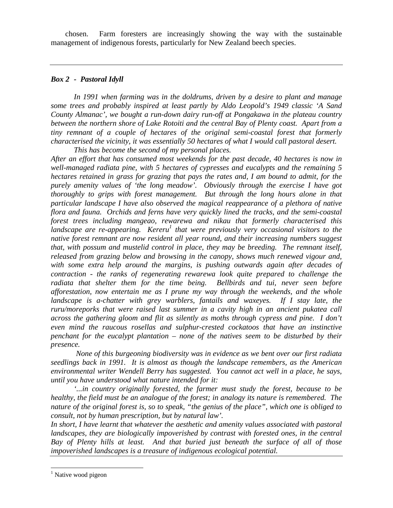chosen. Farm foresters are increasingly showing the way with the sustainable management of indigenous forests, particularly for New Zealand beech species.

# *Box 2 - Pastoral Idyll*

*In 1991 when farming was in the doldrums, driven by a desire to plant and manage some trees and probably inspired at least partly by Aldo Leopold's 1949 classic 'A Sand County Almanac', we bought a run-down dairy run-off at Pongakawa in the plateau country between the northern shore of Lake Rotoiti and the central Bay of Plenty coast. Apart from a tiny remnant of a couple of hectares of the original semi-coastal forest that formerly characterised the vicinity, it was essentially 50 hectares of what I would call pastoral desert. This has become the second of my personal places.*

*After an effort that has consumed most weekends for the past decade, 40 hectares is now in well-managed radiata pine, with 5 hectares of cypresses and eucalypts and the remaining 5 hectares retained in grass for grazing that pays the rates and, I am bound to admit, for the purely amenity values of 'the long meadow'. Obviously through the exercise I have got thoroughly to grips with forest management. But through the long hours alone in that particular landscape I have also observed the magical reappearance of a plethora of native flora and fauna. Orchids and ferns have very quickly lined the tracks, and the semi-coastal forest trees including mangeao, rewarewa and nikau that formerly characterised this landscape are re-appearing. Kereru<sup>1</sup> that were previously very occasional visitors to the native forest remnant are now resident all year round, and their increasing numbers suggest that, with possum and mustelid control in place, they may be breeding. The remnant itself, released from grazing below and browsing in the canopy, shows much renewed vigour and, with some extra help around the margins, is pushing outwards again after decades of contraction - the ranks of regenerating rewarewa look quite prepared to challenge the radiata that shelter them for the time being. Bellbirds and tui, never seen before afforestation, now entertain me as I prune my way through the weekends, and the whole landscape is a-chatter with grey warblers, fantails and waxeyes. If I stay late, the ruru/moreporks that were raised last summer in a cavity high in an ancient pukatea call across the gathering gloom and flit as silently as moths through cypress and pine. I don't even mind the raucous rosellas and sulphur-crested cockatoos that have an instinctive penchant for the eucalypt plantation – none of the natives seem to be disturbed by their presence.*

 *None of this burgeoning biodiversity was in evidence as we bent over our first radiata seedlings back in 1991. It is almost as though the landscape remembers, as the American environmental writer Wendell Berry has suggested. You cannot act well in a place, he says, until you have understood what nature intended for it:*

*'...in country originally forested, the farmer must study the forest, because to be healthy, the field must be an analogue of the forest; in analogy its nature is remembered. The nature of the original forest is, so to speak, "the genius of the place", which one is obliged to consult, not by human prescription, but by natural law'.*

*In short, I have learnt that whatever the aesthetic and amenity values associated with pastoral landscapes, they are biologically impoverished by contrast with forested ones, in the central Bay of Plenty hills at least. And that buried just beneath the surface of all of those impoverished landscapes is a treasure of indigenous ecological potential.*

 $\overline{a}$ <sup>1</sup> Native wood pigeon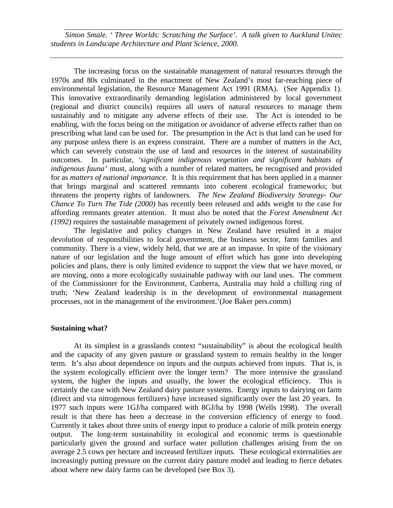*Simon Smale. ' Three Worlds: Scratching the Surface'. A talk given to Auckland Unitec students in Landscape Architecture and Plant Science, 2000.*

The increasing focus on the sustainable management of natural resources through the 1970s and 80s culminated in the enactment of New Zealand's most far-reaching piece of environmental legislation, the Resource Management Act 1991 (RMA). (See Appendix 1). This innovative extraordinarily demanding legislation administered by local government (regional and district councils) requires all users of natural resources to manage them sustainably and to mitigate any adverse effects of their use. The Act is intended to be enabling, with the focus being on the mitigation or avoidance of adverse effects rather than on prescribing what land can be used for. The presumption in the Act is that land can be used for any purpose unless there is an express constraint. There are a number of matters in the Act, which can severely constrain the use of land and resources in the interest of sustainability outcomes. In particular, *'significant indigenous vegetation and significant habitats of indigenous fauna'* must, along with a number of related matters, be recognised and provided for as *matters of national importance*. It is this requirement that has been applied in a manner that brings marginal and scattered remnants into coherent ecological frameworks; but threatens the property rights of landowners. *The New Zealand Biodiversity Strategy- Our Chance To Turn The Tide (2000)* has recently been released and adds weight to the case for affording remnants greater attention. It must also be noted that the *Forest Amendment Act (1992)* requires the sustainable management of privately owned indigenous forest.

The legislative and policy changes in New Zealand have resulted in a major devolution of responsibilities to local government, the business sector, farm families and community. There is a view, widely held, that we are at an impasse. In spite of the visionary nature of our legislation and the huge amount of effort which has gone into developing policies and plans, there is only limited evidence to support the view that we have moved, or are moving, onto a more ecologically sustainable pathway with our land uses. The comment of the Commissioner for the Environment, Canberra, Australia may hold a chilling ring of truth; 'New Zealand leadership is in the development of environmental management processes, not in the management of the environment.'(Joe Baker pers.comm)

## **Sustaining what?**

At its simplest in a grasslands context "sustainability" is about the ecological health and the capacity of any given pasture or grassland system to remain healthy in the longer term. It's also about dependence on inputs and the outputs achieved from inputs. That is, is the system ecologically efficient over the longer term? The more intensive the grassland system, the higher the inputs and usually, the lower the ecological efficiency. This is certainly the case with New Zealand dairy pasture systems. Energy inputs to dairying on farm (direct and via nitrogenous fertilizers) have increased significantly over the last 20 years. In 1977 such inputs were 1GJ/ha compared with 8GJ/ha by 1998 (Wells 1998). The overall result is that there has been a decrease in the conversion efficiency of energy to food. Currently it takes about three units of energy input to produce a calorie of milk protein energy output. The long-term sustainability in ecological and economic terms is questionable particularly given the ground and surface water pollution challenges arising from the on average 2.5 cows per hectare and increased fertilizer inputs. These ecological externalities are increasingly putting pressure on the current dairy pasture model and leading to fierce debates about where new dairy farms can be developed (see Box 3).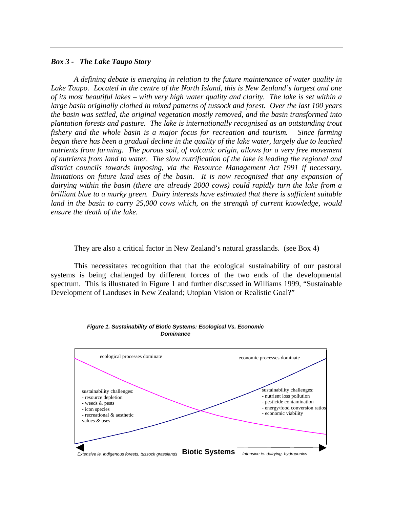## *Box 3 - The Lake Taupo Story*

*A defining debate is emerging in relation to the future maintenance of water quality in Lake Taupo. Located in the centre of the North Island, this is New Zealand's largest and one of its most beautiful lakes – with very high water quality and clarity. The lake is set within a large basin originally clothed in mixed patterns of tussock and forest. Over the last 100 years the basin was settled, the original vegetation mostly removed, and the basin transformed into plantation forests and pasture. The lake is internationally recognised as an outstanding trout fishery and the whole basin is a major focus for recreation and tourism. Since farming began there has been a gradual decline in the quality of the lake water, largely due to leached nutrients from farming. The porous soil, of volcanic origin, allows for a very free movement of nutrients from land to water. The slow nutrification of the lake is leading the regional and district councils towards imposing, via the Resource Management Act 1991 if necessary, limitations on future land uses of the basin. It is now recognised that any expansion of dairying within the basin (there are already 2000 cows) could rapidly turn the lake from a brilliant blue to a murky green. Dairy interests have estimated that there is sufficient suitable* land in the basin to carry 25,000 cows which, on the strength of current knowledge, would *ensure the death of the lake.*

They are also a critical factor in New Zealand's natural grasslands. (see Box 4)

This necessitates recognition that that the ecological sustainability of our pastoral systems is being challenged by different forces of the two ends of the developmental spectrum. This is illustrated in Figure 1 and further discussed in Williams 1999, "Sustainable Development of Landuses in New Zealand; Utopian Vision or Realistic Goal?"



*Figure 1. Sustainability of Biotic Systems: Ecological Vs. Economic Dominance*

*Extensive ie. indigenous forests, tussock grasslands* **Biotic Systems** *Intensive ie. dairying, hydroponics*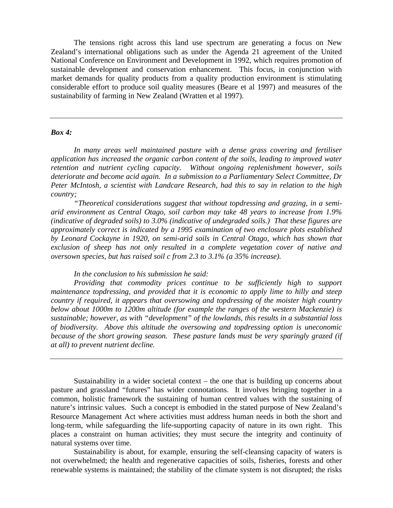The tensions right across this land use spectrum are generating a focus on New Zealand's international obligations such as under the Agenda 21 agreement of the United National Conference on Environment and Development in 1992, which requires promotion of sustainable development and conservation enhancement. This focus, in conjunction with market demands for quality products from a quality production environment is stimulating considerable effort to produce soil quality measures (Beare et al 1997) and measures of the sustainability of farming in New Zealand (Wratten et al 1997).

#### *Box 4:*

*In many areas well maintained pasture with a dense grass covering and fertiliser application has increased the organic carbon content of the soils, leading to improved water retention and nutrient cycling capacity. Without ongoing replenishment however, soils deteriorate and become acid again. In a submission to a Parliamentary Select Committee, Dr Peter McIntosh, a scientist with Landcare Research, had this to say in relation to the high country;*

*"Theoretical considerations suggest that without topdressing and grazing, in a semiarid environment as Central Otago, soil carbon may take 48 years to increase from 1.9% (indicative of degraded soils) to 3.0% (indicative of undegraded soils.) That these figures are approximately correct is indicated by a 1995 examination of two enclosure plots established by Leonard Cockayne in 1920, on semi-arid soils in Central Otago, which has shown that exclusion of sheep has not only resulted in a complete vegetation cover of native and oversown species, but has raised soil c from 2.3 to 3.1% (a 35% increase).*

*In the conclusion to his submission he said:*

*Providing that commodity prices continue to be sufficiently high to support maintenance topdressing, and provided that it is economic to apply lime to hilly and steep country if required, it appears that oversowing and topdressing of the moister high country below about 1000m to 1200m altitude (for example the ranges of the western Mackenzie) is sustainable; however, as with "development" of the lowlands, this results in a substantial loss of biodiversity. Above this altitude the oversowing and topdressing option is uneconomic because of the short growing season. These pasture lands must be very sparingly grazed (if at all) to prevent nutrient decline.*

Sustainability in a wider societal context – the one that is building up concerns about pasture and grassland "futures" has wider connotations. It involves bringing together in a common, holistic framework the sustaining of human centred values with the sustaining of nature's intrinsic values. Such a concept is embodied in the stated purpose of New Zealand's Resource Management Act where activities must address human needs in both the short and long-term, while safeguarding the life-supporting capacity of nature in its own right. This places a constraint on human activities; they must secure the integrity and continuity of natural systems over time.

Sustainability is about, for example, ensuring the self-cleansing capacity of waters is not overwhelmed; the health and regenerative capacities of soils, fisheries, forests and other renewable systems is maintained; the stability of the climate system is not disrupted; the risks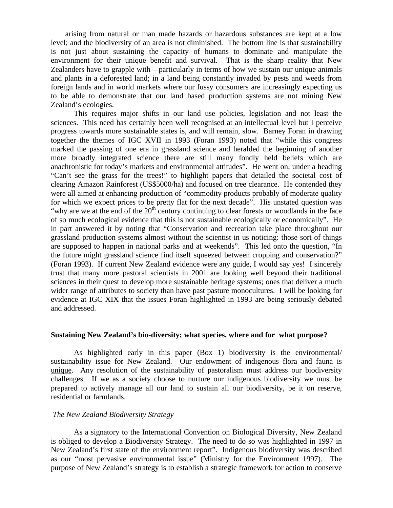arising from natural or man made hazards or hazardous substances are kept at a low level; and the biodiversity of an area is not diminished. The bottom line is that sustainability is not just about sustaining the capacity of humans to dominate and manipulate the environment for their unique benefit and survival. That is the sharp reality that New Zealanders have to grapple with – particularly in terms of how we sustain our unique animals and plants in a deforested land; in a land being constantly invaded by pests and weeds from foreign lands and in world markets where our fussy consumers are increasingly expecting us to be able to demonstrate that our land based production systems are not mining New Zealand's ecologies.

This requires major shifts in our land use policies, legislation and not least the sciences. This need has certainly been well recognised at an intellectual level but I perceive progress towards more sustainable states is, and will remain, slow. Barney Foran in drawing together the themes of IGC XVII in 1993 (Foran 1993) noted that "while this congress marked the passing of one era in grassland science and heralded the beginning of another more broadly integrated science there are still many fondly held beliefs which are anachronistic for today's markets and environmental attitudes". He went on, under a heading "Can't see the grass for the trees!" to highlight papers that detailed the societal cost of clearing Amazon Rainforest (US\$5000/ha) and focused on tree clearance. He contended they were all aimed at enhancing production of "commodity products probably of moderate quality for which we expect prices to be pretty flat for the next decade". His unstated question was "why are we at the end of the  $20<sup>th</sup>$  century continuing to clear forests or woodlands in the face of so much ecological evidence that this is not sustainable ecologically or economically". He in part answered it by noting that "Conservation and recreation take place throughout our grassland production systems almost without the scientist in us noticing: those sort of things are supposed to happen in national parks and at weekends". This led onto the question, "In the future might grassland science find itself squeezed between cropping and conservation?" (Foran 1993). If current New Zealand evidence were any guide, I would say yes! I sincerely trust that many more pastoral scientists in 2001 are looking well beyond their traditional sciences in their quest to develop more sustainable heritage systems; ones that deliver a much wider range of attributes to society than have past pasture monocultures. I will be looking for evidence at IGC XIX that the issues Foran highlighted in 1993 are being seriously debated and addressed.

## **Sustaining New Zealand's bio-diversity; what species, where and for what purpose?**

As highlighted early in this paper (Box 1) biodiversity is the environmental/ sustainability issue for New Zealand. Our endowment of indigenous flora and fauna is unique. Any resolution of the sustainability of pastoralism must address our biodiversity challenges. If we as a society choose to nurture our indigenous biodiversity we must be prepared to actively manage all our land to sustain all our biodiversity, be it on reserve, residential or farmlands.

## *The New Zealand Biodiversity Strategy*

As a signatory to the International Convention on Biological Diversity, New Zealand is obliged to develop a Biodiversity Strategy. The need to do so was highlighted in 1997 in New Zealand's first state of the environment report". Indigenous biodiversity was described as our "most pervasive environmental issue" (Ministry for the Environment 1997). The purpose of New Zealand's strategy is to establish a strategic framework for action to conserve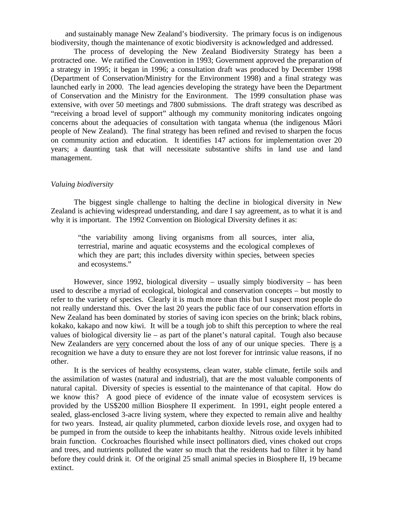and sustainably manage New Zealand's biodiversity. The primary focus is on indigenous biodiversity, though the maintenance of exotic biodiversity is acknowledged and addressed.

The process of developing the New Zealand Biodiversity Strategy has been a protracted one. We ratified the Convention in 1993; Government approved the preparation of a strategy in 1995; it began in 1996; a consultation draft was produced by December 1998 (Department of Conservation/Ministry for the Environment 1998) and a final strategy was launched early in 2000. The lead agencies developing the strategy have been the Department of Conservation and the Ministry for the Environment. The 1999 consultation phase was extensive, with over 50 meetings and 7800 submissions. The draft strategy was described as "receiving a broad level of support" although my community monitoring indicates ongoing concerns about the adequacies of consultation with tangata whenua (the indigenous Mâori people of New Zealand). The final strategy has been refined and revised to sharpen the focus on community action and education. It identifies 147 actions for implementation over 20 years; a daunting task that will necessitate substantive shifts in land use and land management.

#### *Valuing biodiversity*

The biggest single challenge to halting the decline in biological diversity in New Zealand is achieving widespread understanding, and dare I say agreement, as to what it is and why it is important. The 1992 Convention on Biological Diversity defines it as:

"the variability among living organisms from all sources, inter alia, terrestrial, marine and aquatic ecosystems and the ecological complexes of which they are part; this includes diversity within species, between species and ecosystems."

However, since 1992, biological diversity – usually simply biodiversity – has been used to describe a myriad of ecological, biological and conservation concepts – but mostly to refer to the variety of species. Clearly it is much more than this but I suspect most people do not really understand this. Over the last 20 years the public face of our conservation efforts in New Zealand has been dominated by stories of saving icon species on the brink; black robins, kokako, kakapo and now kiwi. It will be a tough job to shift this perception to where the real values of biological diversity lie – as part of the planet's natural capital. Tough also because New Zealanders are very concerned about the loss of any of our unique species. There is a recognition we have a duty to ensure they are not lost forever for intrinsic value reasons, if no other.

It is the services of healthy ecosystems, clean water, stable climate, fertile soils and the assimilation of wastes (natural and industrial), that are the most valuable components of natural capital. Diversity of species is essential to the maintenance of that capital. How do we know this? A good piece of evidence of the innate value of ecosystem services is provided by the US\$200 million Biosphere II experiment. In 1991, eight people entered a sealed, glass-enclosed 3-acre living system, where they expected to remain alive and healthy for two years. Instead, air quality plummeted, carbon dioxide levels rose, and oxygen had to be pumped in from the outside to keep the inhabitants healthy. Nitrous oxide levels inhibited brain function. Cockroaches flourished while insect pollinators died, vines choked out crops and trees, and nutrients polluted the water so much that the residents had to filter it by hand before they could drink it. Of the original 25 small animal species in Biosphere II, 19 became extinct.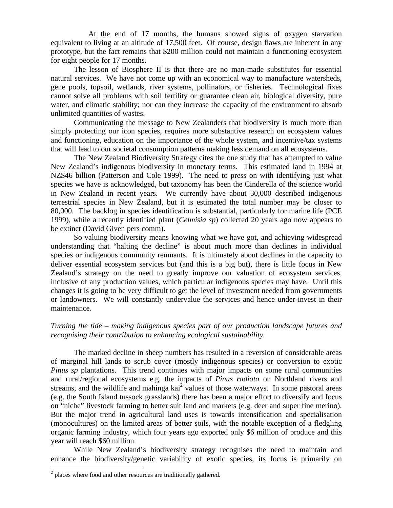At the end of 17 months, the humans showed signs of oxygen starvation equivalent to living at an altitude of 17,500 feet. Of course, design flaws are inherent in any prototype, but the fact remains that \$200 million could not maintain a functioning ecosystem for eight people for 17 months.

The lesson of Biosphere II is that there are no man-made substitutes for essential natural services. We have not come up with an economical way to manufacture watersheds, gene pools, topsoil, wetlands, river systems, pollinators, or fisheries. Technological fixes cannot solve all problems with soil fertility or guarantee clean air, biological diversity, pure water, and climatic stability; nor can they increase the capacity of the environment to absorb unlimited quantities of wastes.

Communicating the message to New Zealanders that biodiversity is much more than simply protecting our icon species, requires more substantive research on ecosystem values and functioning, education on the importance of the whole system, and incentive/tax systems that will lead to our societal consumption patterns making less demand on all ecosystems.

The New Zealand Biodiversity Strategy cites the one study that has attempted to value New Zealand's indigenous biodiversity in monetary terms. This estimated land in 1994 at NZ\$46 billion (Patterson and Cole 1999). The need to press on with identifying just what species we have is acknowledged, but taxonomy has been the Cinderella of the science world in New Zealand in recent years. We currently have about 30,000 described indigenous terrestrial species in New Zealand, but it is estimated the total number may be closer to 80,000. The backlog in species identification is substantial, particularly for marine life (PCE 1999), while a recently identified plant (*Celmisia sp*) collected 20 years ago now appears to be extinct (David Given pers comm).

So valuing biodiversity means knowing what we have got, and achieving widespread understanding that "halting the decline" is about much more than declines in individual species or indigenous community remnants. It is ultimately about declines in the capacity to deliver essential ecosystem services but (and this is a big but), there is little focus in New Zealand's strategy on the need to greatly improve our valuation of ecosystem services, inclusive of any production values, which particular indigenous species may have. Until this changes it is going to be very difficult to get the level of investment needed from governments or landowners. We will constantly undervalue the services and hence under-invest in their maintenance.

# *Turning the tide – making indigenous species part of our production landscape futures and recognising their contribution to enhancing ecological sustainability.*

The marked decline in sheep numbers has resulted in a reversion of considerable areas of marginal hill lands to scrub cover (mostly indigenous species) or conversion to exotic *Pinus sp* plantations. This trend continues with major impacts on some rural communities and rural/regional ecosystems e.g. the impacts of *Pinus radiata* on Northland rivers and streams, and the wildlife and mahinga kai $2$  values of those waterways. In some pastoral areas (e.g. the South Island tussock grasslands) there has been a major effort to diversify and focus on "niche" livestock farming to better suit land and markets (e.g. deer and super fine merino). But the major trend in agricultural land uses is towards intensification and specialisation (monocultures) on the limited areas of better soils, with the notable exception of a fledgling organic farming industry, which four years ago exported only \$6 million of produce and this year will reach \$60 million.

While New Zealand's biodiversity strategy recognises the need to maintain and enhance the biodiversity/genetic variability of exotic species, its focus is primarily on

<sup>&</sup>lt;sup>2</sup> places where food and other resources are traditionally gathered.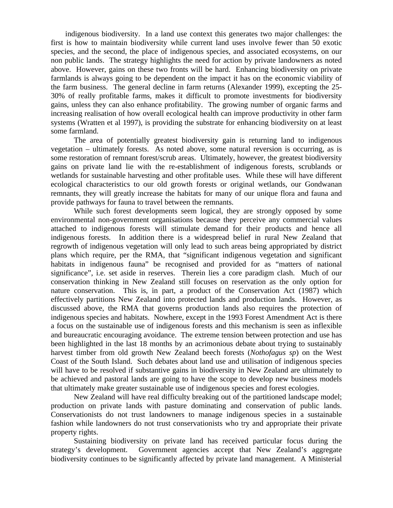indigenous biodiversity. In a land use context this generates two major challenges: the first is how to maintain biodiversity while current land uses involve fewer than 50 exotic species, and the second, the place of indigenous species, and associated ecosystems, on our non public lands. The strategy highlights the need for action by private landowners as noted above. However, gains on these two fronts will be hard. Enhancing biodiversity on private farmlands is always going to be dependent on the impact it has on the economic viability of the farm business. The general decline in farm returns (Alexander 1999), excepting the 25- 30% of really profitable farms, makes it difficult to promote investments for biodiversity gains, unless they can also enhance profitability. The growing number of organic farms and increasing realisation of how overall ecological health can improve productivity in other farm systems (Wratten et al 1997), is providing the substrate for enhancing biodiversity on at least some farmland.

The area of potentially greatest biodiversity gain is returning land to indigenous vegetation – ultimately forests. As noted above, some natural reversion is occurring, as is some restoration of remnant forest/scrub areas. Ultimately, however, the greatest biodiversity gains on private land lie with the re-establishment of indigenous forests, scrublands or wetlands for sustainable harvesting and other profitable uses. While these will have different ecological characteristics to our old growth forests or original wetlands, our Gondwanan remnants, they will greatly increase the habitats for many of our unique flora and fauna and provide pathways for fauna to travel between the remnants.

While such forest developments seem logical, they are strongly opposed by some environmental non-government organisations because they perceive any commercial values attached to indigenous forests will stimulate demand for their products and hence all indigenous forests. In addition there is a widespread belief in rural New Zealand that regrowth of indigenous vegetation will only lead to such areas being appropriated by district plans which require, per the RMA, that "significant indigenous vegetation and significant habitats in indigenous fauna" be recognised and provided for as "matters of national significance", i.e. set aside in reserves. Therein lies a core paradigm clash. Much of our conservation thinking in New Zealand still focuses on reservation as the only option for nature conservation. This is, in part, a product of the Conservation Act (1987) which effectively partitions New Zealand into protected lands and production lands. However, as discussed above, the RMA that governs production lands also requires the protection of indigenous species and habitats. Nowhere, except in the 1993 Forest Amendment Act is there a focus on the sustainable use of indigenous forests and this mechanism is seen as inflexible and bureaucratic encouraging avoidance. The extreme tension between protection and use has been highlighted in the last 18 months by an acrimonious debate about trying to sustainably harvest timber from old growth New Zealand beech forests (*Nothofagus sp*) on the West Coast of the South Island. Such debates about land use and utilisation of indigenous species will have to be resolved if substantive gains in biodiversity in New Zealand are ultimately to be achieved and pastoral lands are going to have the scope to develop new business models that ultimately make greater sustainable use of indigenous species and forest ecologies.

New Zealand will have real difficulty breaking out of the partitioned landscape model; production on private lands with pasture dominating and conservation of public lands. Conservationists do not trust landowners to manage indigenous species in a sustainable fashion while landowners do not trust conservationists who try and appropriate their private property rights.

Sustaining biodiversity on private land has received particular focus during the strategy's development. Government agencies accept that New Zealand's aggregate biodiversity continues to be significantly affected by private land management. A Ministerial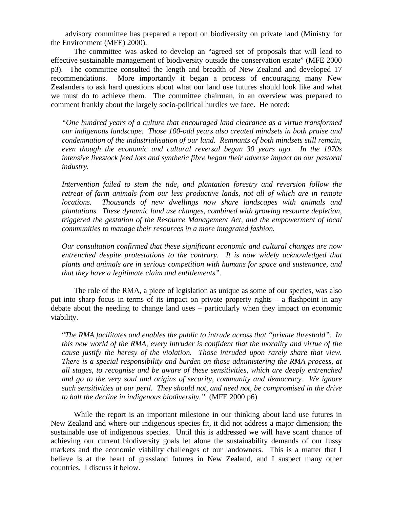advisory committee has prepared a report on biodiversity on private land (Ministry for the Environment (MFE) 2000).

The committee was asked to develop an "agreed set of proposals that will lead to effective sustainable management of biodiversity outside the conservation estate" (MFE 2000 p3). The committee consulted the length and breadth of New Zealand and developed 17 recommendations. More importantly it began a process of encouraging many New Zealanders to ask hard questions about what our land use futures should look like and what we must do to achieve them. The committee chairman, in an overview was prepared to comment frankly about the largely socio-political hurdles we face. He noted:

*"One hundred years of a culture that encouraged land clearance as a virtue transformed our indigenous landscape. Those 100-odd years also created mindsets in both praise and condemnation of the industrialisation of our land. Remnants of both mindsets still remain, even though the economic and cultural reversal began 30 years ago. In the 1970s intensive livestock feed lots and synthetic fibre began their adverse impact on our pastoral industry.*

*Intervention failed to stem the tide, and plantation forestry and reversion follow the retreat of farm animals from our less productive lands, not all of which are in remote locations. Thousands of new dwellings now share landscapes with animals and plantations. These dynamic land use changes, combined with growing resource depletion, triggered the gestation of the Resource Management Act, and the empowerment of local communities to manage their resources in a more integrated fashion.*

*Our consultation confirmed that these significant economic and cultural changes are now entrenched despite protestations to the contrary. It is now widely acknowledged that plants and animals are in serious competition with humans for space and sustenance, and that they have a legitimate claim and entitlements".*

The role of the RMA, a piece of legislation as unique as some of our species, was also put into sharp focus in terms of its impact on private property rights – a flashpoint in any debate about the needing to change land uses – particularly when they impact on economic viability.

"*The RMA facilitates and enables the public to intrude across that "private threshold". In this new world of the RMA, every intruder is confident that the morality and virtue of the cause justify the heresy of the violation. Those intruded upon rarely share that view. There is a special responsibility and burden on those administering the RMA process, at all stages, to recognise and be aware of these sensitivities, which are deeply entrenched and go to the very soul and origins of security, community and democracy. We ignore such sensitivities at our peril. They should not, and need not, be compromised in the drive to halt the decline in indigenous biodiversity."* (MFE 2000 p6)

While the report is an important milestone in our thinking about land use futures in New Zealand and where our indigenous species fit, it did not address a major dimension; the sustainable use of indigenous species. Until this is addressed we will have scant chance of achieving our current biodiversity goals let alone the sustainability demands of our fussy markets and the economic viability challenges of our landowners. This is a matter that I believe is at the heart of grassland futures in New Zealand, and I suspect many other countries. I discuss it below.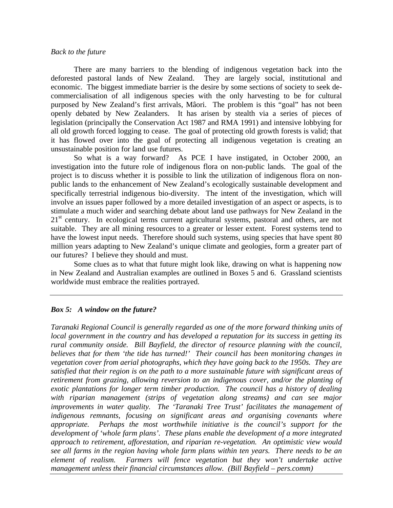## *Back to the future*

There are many barriers to the blending of indigenous vegetation back into the deforested pastoral lands of New Zealand. They are largely social, institutional and economic. The biggest immediate barrier is the desire by some sections of society to seek decommercialisation of all indigenous species with the only harvesting to be for cultural purposed by New Zealand's first arrivals, Mâori. The problem is this "goal" has not been openly debated by New Zealanders. It has arisen by stealth via a series of pieces of legislation (principally the Conservation Act 1987 and RMA 1991) and intensive lobbying for all old growth forced logging to cease. The goal of protecting old growth forests is valid; that it has flowed over into the goal of protecting all indigenous vegetation is creating an unsustainable position for land use futures.

So what is a way forward? As PCE I have instigated, in October 2000, an investigation into the future role of indigenous flora on non-public lands. The goal of the project is to discuss whether it is possible to link the utilization of indigenous flora on nonpublic lands to the enhancement of New Zealand's ecologically sustainable development and specifically terrestrial indigenous bio-diversity. The intent of the investigation, which will involve an issues paper followed by a more detailed investigation of an aspect or aspects, is to stimulate a much wider and searching debate about land use pathways for New Zealand in the  $21<sup>st</sup>$  century. In ecological terms current agricultural systems, pastoral and others, are not suitable. They are all mining resources to a greater or lesser extent. Forest systems tend to have the lowest input needs. Therefore should such systems, using species that have spent 80 million years adapting to New Zealand's unique climate and geologies, form a greater part of our futures? I believe they should and must.

Some clues as to what that future might look like, drawing on what is happening now in New Zealand and Australian examples are outlined in Boxes 5 and 6. Grassland scientists worldwide must embrace the realities portrayed.

## *Box 5: A window on the future?*

*Taranaki Regional Council is generally regarded as one of the more forward thinking units of local government in the country and has developed a reputation for its success in getting its rural community onside. Bill Bayfield, the director of resource planning with the council, believes that for them 'the tide has turned!' Their council has been monitoring changes in vegetation cover from aerial photographs, which they have going back to the 1950s. They are satisfied that their region is on the path to a more sustainable future with significant areas of retirement from grazing, allowing reversion to an indigenous cover, and/or the planting of exotic plantations for longer term timber production. The council has a history of dealing with riparian management (strips of vegetation along streams) and can see major improvements in water quality. The 'Taranaki Tree Trust' facilitates the management of indigenous remnants, focusing on significant areas and organising covenants where appropriate. Perhaps the most worthwhile initiative is the council's support for the development of 'whole farm plans'. These plans enable the development of a more integrated approach to retirement, afforestation, and riparian re-vegetation. An optimistic view would see all farms in the region having whole farm plans within ten years. There needs to be an element of realism. Farmers will fence vegetation but they won't undertake active management unless their financial circumstances allow. (Bill Bayfield – pers.comm)*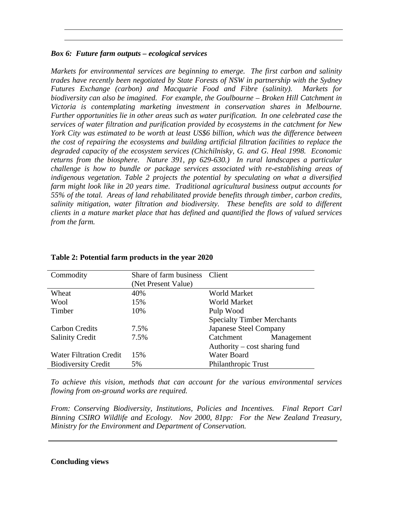# *Box 6: Future farm outputs – ecological services*

*Markets for environmental services are beginning to emerge. The first carbon and salinity trades have recently been negotiated by State Forests of NSW in partnership with the Sydney Futures Exchange (carbon) and Macquarie Food and Fibre (salinity). Markets for biodiversity can also be imagined. For example, the Goulbourne – Broken Hill Catchment in Victoria is contemplating marketing investment in conservation shares in Melbourne. Further opportunities lie in other areas such as water purification. In one celebrated case the services of water filtration and purification provided by ecosystems in the catchment for New York City was estimated to be worth at least US\$6 billion, which was the difference between the cost of repairing the ecosystems and building artificial filtration facilities to replace the degraded capacity of the ecosystem services (Chichilnisky, G. and G. Heal 1998. Economic returns from the biosphere. Nature 391, pp 629-630.) In rural landscapes a particular challenge is how to bundle or package services associated with re-establishing areas of indigenous vegetation. Table 2 projects the potential by speculating on what a diversified farm might look like in 20 years time. Traditional agricultural business output accounts for 55% of the total. Areas of land rehabilitated provide benefits through timber, carbon credits, salinity mitigation, water filtration and biodiversity. These benefits are sold to different clients in a mature market place that has defined and quantified the flows of valued services from the farm.*

| Commodity                      | Share of farm business | Client                            |  |
|--------------------------------|------------------------|-----------------------------------|--|
|                                | (Net Present Value)    |                                   |  |
| Wheat                          | 40%                    | World Market                      |  |
| Wool                           | 15%                    | World Market                      |  |
| Timber                         | 10%                    | Pulp Wood                         |  |
|                                |                        | <b>Specialty Timber Merchants</b> |  |
| <b>Carbon Credits</b>          | 7.5%                   | Japanese Steel Company            |  |
| <b>Salinity Credit</b>         | 7.5%                   | Catchment<br>Management           |  |
|                                |                        | Authority – cost sharing fund     |  |
| <b>Water Filtration Credit</b> | 15%                    | Water Board                       |  |
| <b>Biodiversity Credit</b>     | 5%                     | Philanthropic Trust               |  |

# **Table 2: Potential farm products in the year 2020**

*To achieve this vision, methods that can account for the various environmental services flowing from on-ground works are required.*

*From: Conserving Biodiversity, Institutions, Policies and Incentives. Final Report Carl Binning CSIRO Wildlife and Ecology. Nov 2000, 81pp: For the New Zealand Treasury, Ministry for the Environment and Department of Conservation.*

# **Concluding views**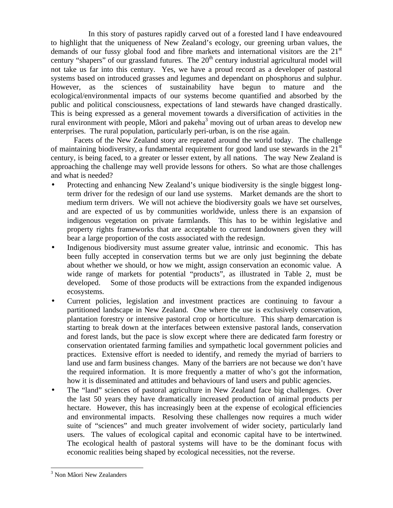In this story of pastures rapidly carved out of a forested land I have endeavoured to highlight that the uniqueness of New Zealand's ecology, our greening urban values, the demands of our fussy global food and fibre markets and international visitors are the  $21<sup>st</sup>$ century "shapers" of our grassland futures. The  $20<sup>th</sup>$  century industrial agricultural model will not take us far into this century. Yes, we have a proud record as a developer of pastoral systems based on introduced grasses and legumes and dependant on phosphorus and sulphur. However, as the sciences of sustainability have begun to mature and the ecological/environmental impacts of our systems become quantified and absorbed by the public and political consciousness, expectations of land stewards have changed drastically. This is being expressed as a general movement towards a diversification of activities in the rural environment with people, Mâori and pakeha $3$  moving out of urban areas to develop new enterprises. The rural population, particularly peri-urban, is on the rise again.

Facets of the New Zealand story are repeated around the world today. The challenge of maintaining biodiversity, a fundamental requirement for good land use stewards in the  $21<sup>st</sup>$ century, is being faced, to a greater or lesser extent, by all nations. The way New Zealand is approaching the challenge may well provide lessons for others. So what are those challenges and what is needed?

- Protecting and enhancing New Zealand's unique biodiversity is the single biggest longterm driver for the redesign of our land use systems. Market demands are the short to medium term drivers. We will not achieve the biodiversity goals we have set ourselves, and are expected of us by communities worldwide, unless there is an expansion of indigenous vegetation on private farmlands. This has to be within legislative and property rights frameworks that are acceptable to current landowners given they will bear a large proportion of the costs associated with the redesign.
- Indigenous biodiversity must assume greater value, intrinsic and economic. This has been fully accepted in conservation terms but we are only just beginning the debate about whether we should, or how we might, assign conservation an economic value. A wide range of markets for potential "products", as illustrated in Table 2, must be developed. Some of those products will be extractions from the expanded indigenous ecosystems.
- Current policies, legislation and investment practices are continuing to favour a partitioned landscape in New Zealand. One where the use is exclusively conservation, plantation forestry or intensive pastoral crop or horticulture. This sharp demarcation is starting to break down at the interfaces between extensive pastoral lands, conservation and forest lands, but the pace is slow except where there are dedicated farm forestry or conservation orientated farming families and sympathetic local government policies and practices. Extensive effort is needed to identify, and remedy the myriad of barriers to land use and farm business changes. Many of the barriers are not because we don't have the required information. It is more frequently a matter of who's got the information, how it is disseminated and attitudes and behaviours of land users and public agencies.
- The "land" sciences of pastoral agriculture in New Zealand face big challenges. Over the last 50 years they have dramatically increased production of animal products per hectare. However, this has increasingly been at the expense of ecological efficiencies and environmental impacts. Resolving these challenges now requires a much wider suite of "sciences" and much greater involvement of wider society, particularly land users. The values of ecological capital and economic capital have to be intertwined. The ecological health of pastoral systems will have to be the dominant focus with economic realities being shaped by ecological necessities, not the reverse.

<sup>&</sup>lt;sup>3</sup> Non Mâori New Zealanders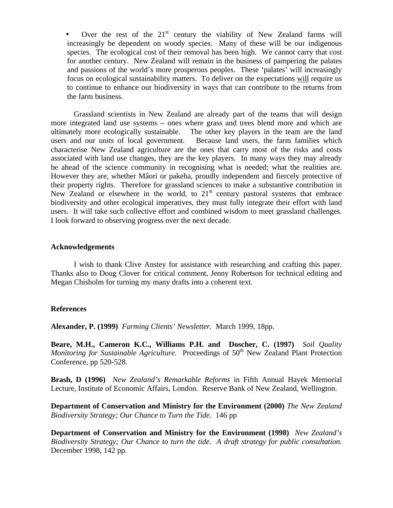Over the rest of the  $21<sup>st</sup>$  century the viability of New Zealand farms will increasingly be dependent on woody species. Many of these will be our indigenous species. The ecological cost of their removal has been high. We cannot carry that cost for another century. New Zealand will remain in the business of pampering the palates and passions of the world's more prosperous peoples. These 'palates' will increasingly focus on ecological sustainability matters. To deliver on the expectations will require us to continue to enhance our biodiversity in ways that can contribute to the returns from the farm business.

Grassland scientists in New Zealand are already part of the teams that will design more integrated land use systems – ones where grass and trees blend more and which are ultimately more ecologically sustainable. The other key players in the team are the land users and our units of local government. Because land users, the farm families which characterise New Zealand agriculture are the ones that carry most of the risks and costs associated with land use changes, they are the key players. In many ways they may already be ahead of the science community in recognising what is needed; what the realities are. However they are, whether Mâori or pakeha, proudly independent and fiercely protective of their property rights. Therefore for grassland sciences to make a substantive contribution in New Zealand or elsewhere in the world, to  $21<sup>st</sup>$  century pastoral systems that embrace biodiversity and other ecological imperatives, they must fully integrate their effort with land users. It will take such collective effort and combined wisdom to meet grassland challenges. I look forward to observing progress over the next decade.

### **Acknowledgements**

I wish to thank Clive Anstey for assistance with researching and crafting this paper. Thanks also to Doug Clover for critical comment, Jenny Robertson for technical editing and Megan Chisholm for turning my many drafts into a coherent text.

### **References**

**Alexander, P. (1999)** *Farming Clients' Newsletter.* March 1999, 18pp.

**Beare, M.H., Cameron K.C., Williams P.H. and Doscher, C. (1997)** *Soil Quality Monitoring for Sustainable Agriculture.* Proceedings of 50<sup>th</sup> New Zealand Plant Protection Conference, pp 520-528.

**Brash, D (1996)** *New Zealand's Remarkable Reforms* in Fifth Annual Hayek Memorial Lecture, Institute of Economic Affairs, London. Reserve Bank of New Zealand, Wellington.

**Department of Conservation and Ministry for the Environment (2000)** *The New Zealand Biodiversity Strategy; Our Chance to Turn the Tide.* 146 pp

**Department of Conservation and Ministry for the Environment (1998)** *New Zealand's Biodiversity Strategy; Our Chance to turn the tide. A draft strategy for public consultation.* December 1998, 142 pp.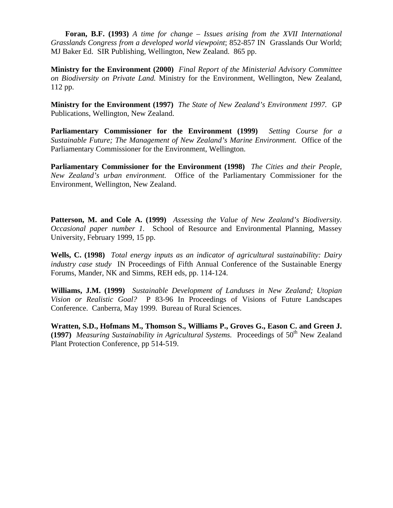**Foran, B.F. (1993)** *A time for change – Issues arising from the XVII International Grasslands Congress from a developed world viewpoint*; 852-857 IN Grasslands Our World; MJ Baker Ed. SIR Publishing, Wellington, New Zealand. 865 pp.

**Ministry for the Environment (2000)** *Final Report of the Ministerial Advisory Committee on Biodiversity on Private Land.* Ministry for the Environment, Wellington, New Zealand, 112 pp.

**Ministry for the Environment (1997)** *The State of New Zealand's Environment 1997.* GP Publications, Wellington, New Zealand.

**Parliamentary Commissioner for the Environment (1999)** *Setting Course for a Sustainable Future; The Management of New Zealand's Marine Environment.* Office of the Parliamentary Commissioner for the Environment, Wellington.

**Parliamentary Commissioner for the Environment (1998)** *The Cities and their People, New Zealand's urban environment.* Office of the Parliamentary Commissioner for the Environment, Wellington, New Zealand.

**Patterson, M. and Cole A. (1999)** *Assessing the Value of New Zealand's Biodiversity. Occasional paper number 1.* School of Resource and Environmental Planning, Massey University, February 1999, 15 pp.

**Wells, C. (1998)** *Total energy inputs as an indicator of agricultural sustainability: Dairy industry case study* IN Proceedings of Fifth Annual Conference of the Sustainable Energy Forums, Mander, NK and Simms, REH eds, pp. 114-124.

**Williams, J.M. (1999)** *Sustainable Development of Landuses in New Zealand; Utopian Vision or Realistic Goal?* P 83-96 In Proceedings of Visions of Future Landscapes Conference. Canberra, May 1999. Bureau of Rural Sciences.

**Wratten, S.D., Hofmans M., Thomson S., Williams P., Groves G., Eason C. and Green J. (1997)** *Measuring Sustainability in Agricultural Systems.* Proceedings of 50<sup>th</sup> New Zealand Plant Protection Conference, pp 514-519.